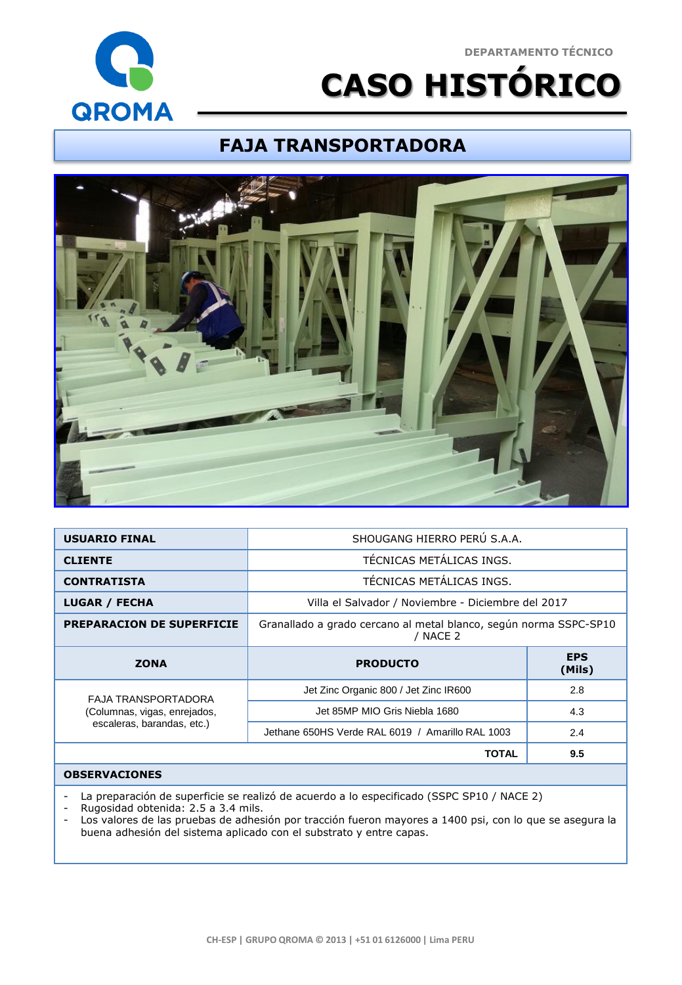#### **DEPARTAMENTO TÉCNICO**



# **CASO HISTÓRICO**

### **FAJA TRANSPORTADORA**



| <b>USUARIO FINAL</b>                                | SHOUGANG HIERRO PERÚ S.A.A.                                                   |                      |
|-----------------------------------------------------|-------------------------------------------------------------------------------|----------------------|
| <b>CLIENTE</b>                                      | TÉCNICAS METÁLICAS INGS.                                                      |                      |
| <b>CONTRATISTA</b>                                  | TÉCNICAS METÁLICAS INGS.                                                      |                      |
| <b>LUGAR / FECHA</b>                                | Villa el Salvador / Noviembre - Diciembre del 2017                            |                      |
| <b>PREPARACION DE SUPERFICIE</b>                    | Granallado a grado cercano al metal blanco, según norma SSPC-SP10<br>/ NACE 2 |                      |
|                                                     |                                                                               |                      |
| <b>ZONA</b>                                         | <b>PRODUCTO</b>                                                               | <b>EPS</b><br>(Mils) |
|                                                     | Jet Zinc Organic 800 / Jet Zinc IR600                                         | 2.8                  |
| FAJA TRANSPORTADORA<br>(Columnas, vigas, enrejados, | Jet 85MP MIO Gris Niebla 1680                                                 | 4.3                  |
| escaleras, barandas, etc.)                          | Jethane 650HS Verde RAL 6019 / Amarillo RAL 1003                              | 2.4                  |
|                                                     | <b>TOTAL</b>                                                                  | 9.5                  |

#### **OBSERVACIONES**

- La preparación de superficie se realizó de acuerdo a lo especificado (SSPC SP10 / NACE 2)

- Rugosidad obtenida: 2.5 a 3.4 mils.

- Los valores de las pruebas de adhesión por tracción fueron mayores a 1400 psi, con lo que se asegura la buena adhesión del sistema aplicado con el substrato y entre capas.